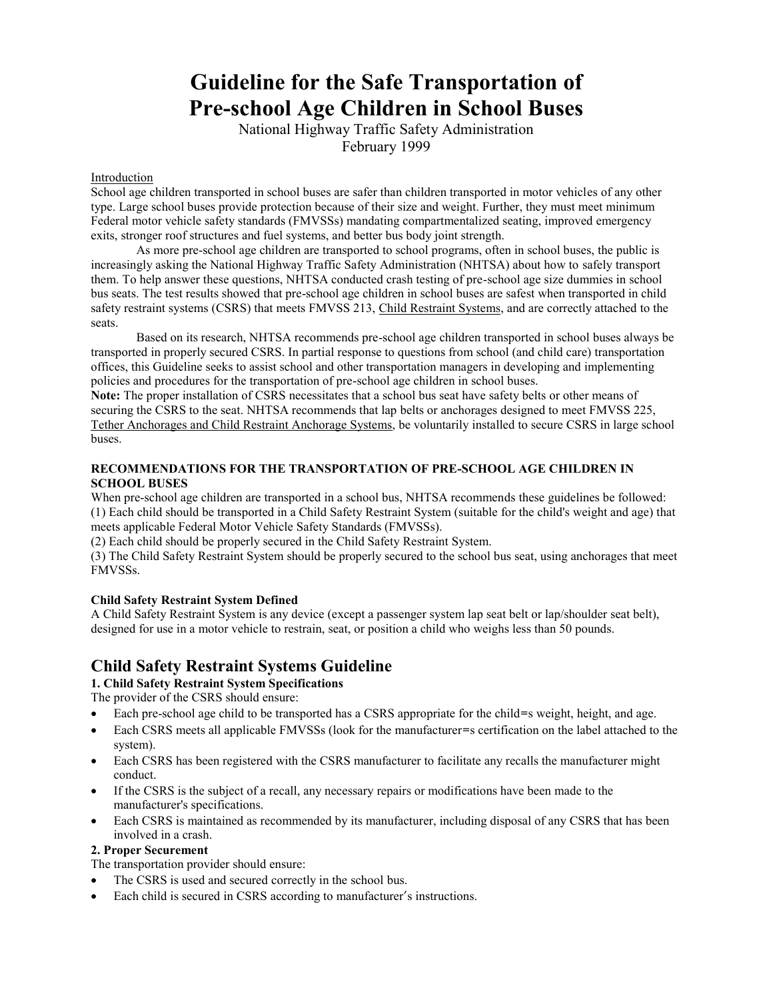# **Guideline for the Safe Transportation of Pre-school Age Children in School Buses**

National Highway Traffic Safety Administration February 1999

#### Introduction

School age children transported in school buses are safer than children transported in motor vehicles of any other type. Large school buses provide protection because of their size and weight. Further, they must meet minimum Federal motor vehicle safety standards (FMVSSs) mandating compartmentalized seating, improved emergency exits, stronger roof structures and fuel systems, and better bus body joint strength.

As more pre-school age children are transported to school programs, often in school buses, the public is increasingly asking the National Highway Traffic Safety Administration (NHTSA) about how to safely transport them. To help answer these questions, NHTSA conducted crash testing of pre-school age size dummies in school bus seats. The test results showed that pre-school age children in school buses are safest when transported in child safety restraint systems (CSRS) that meets FMVSS 213, Child Restraint Systems, and are correctly attached to the seats.

Based on its research, NHTSA recommends pre-school age children transported in school buses always be transported in properly secured CSRS. In partial response to questions from school (and child care) transportation offices, this Guideline seeks to assist school and other transportation managers in developing and implementing policies and procedures for the transportation of pre-school age children in school buses.

**Note:** The proper installation of CSRS necessitates that a school bus seat have safety belts or other means of securing the CSRS to the seat. NHTSA recommends that lap belts or anchorages designed to meet FMVSS 225, Tether Anchorages and Child Restraint Anchorage Systems, be voluntarily installed to secure CSRS in large school buses.

## **RECOMMENDATIONS FOR THE TRANSPORTATION OF PRE-SCHOOL AGE CHILDREN IN SCHOOL BUSES**

When pre-school age children are transported in a school bus, NHTSA recommends these guidelines be followed: (1) Each child should be transported in a Child Safety Restraint System (suitable for the child's weight and age) that meets applicable Federal Motor Vehicle Safety Standards (FMVSSs).

(2) Each child should be properly secured in the Child Safety Restraint System.

(3) The Child Safety Restraint System should be properly secured to the school bus seat, using anchorages that meet FMVSSs.

#### **Child Safety Restraint System Defined**

A Child Safety Restraint System is any device (except a passenger system lap seat belt or lap/shoulder seat belt), designed for use in a motor vehicle to restrain, seat, or position a child who weighs less than 50 pounds.

# **Child Safety Restraint Systems Guideline**

**1. Child Safety Restraint System Specifications** 

The provider of the CSRS should ensure:

- Each pre-school age child to be transported has a CSRS appropriate for the child=s weight, height, and age.
- Each CSRS meets all applicable FMVSSs (look for the manufacturer=s certification on the label attached to the system).
- Each CSRS has been registered with the CSRS manufacturer to facilitate any recalls the manufacturer might conduct.
- If the CSRS is the subject of a recall, any necessary repairs or modifications have been made to the manufacturer's specifications.
- Each CSRS is maintained as recommended by its manufacturer, including disposal of any CSRS that has been involved in a crash.

#### **2. Proper Securement**

The transportation provider should ensure:

- The CSRS is used and secured correctly in the school bus.
- Each child is secured in CSRS according to manufacturer's instructions.